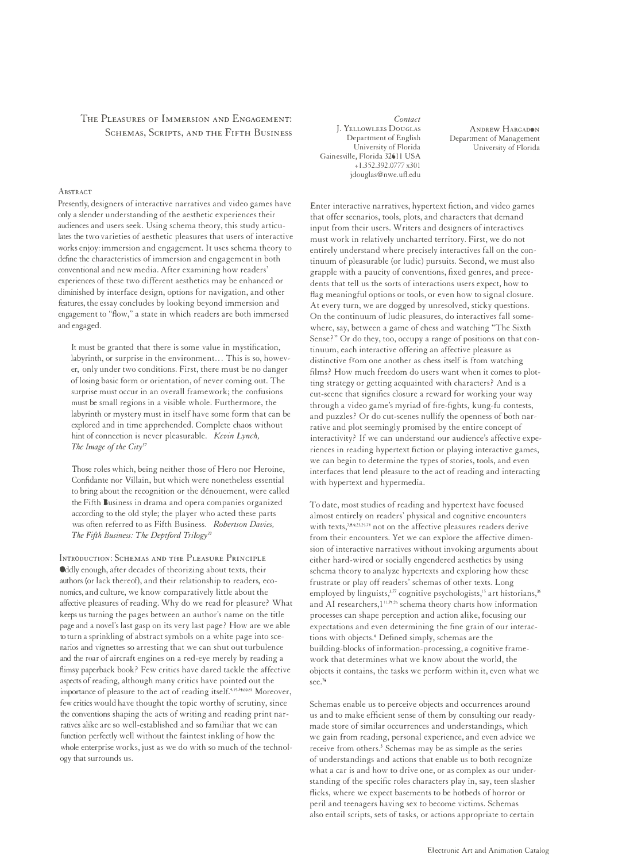# THE PLEASURES OF IMMERSION AND ENGAGEMENT: SCHEMAS, SCRIPTS, AND THE FIFTH BUSINESS

#### **ABSTRACT**

Presently, designers of interactive narratives and video games have only a slender understanding of the aesthetic experiences their audiences and users seek. Using schema theory, this study articulates the two varieties of aesthetic pleasures that users of interactive works enjoy: immersion and engagement. It uses schema theory to define the characteristics of immersion and engagement in both conventional and new media. After examining how readers' experiences of these two different aesthetics may be enhanced or diminished by interface design, options for navigation, and other features, the essay concludes by looking beyond immersion and engagement to "flow," a state in which readers are both immersed and engaged.

It must be granted that there is some value in mystification, labyrinth, or surprise in the environment. .. This is so, however, only under two conditions. First, there must be no danger of losing basic form or orientation, of never coming out. The surprise must occur in an overall framework; the confusions must be small regions in a visible whole. Furthermore, the labyrinth or mystery must in itself have some form that can be explored and in time apprehended. Complete chaos without hint of connection is never pleasurable. *Kevin Lynch*, *The Image of the City"* 

Those roles which, being neither those of Hero nor Heroine, Confidante nor Villain, but which were nonetheless essential to bring about the recognition or the denouement, were called the Fifth Business in drama and opera companies organized according to the old style; the player who acted these parts was often referred to as Fifth Business. *Robertson Davies, The Fifth Business: The Deptford Trilogy"* 

INTRODUCTION: SCHEMAS AND THE PLEASURE PRINCIPLE Oddly enough, after decades of theorizing about texts, their authors (or lack thereof), and their relationship to readers, economics, and culture, we know comparatively little about the affective pleasures of reading. Why do we read for pleasure? What keeps us turning the pages between an author's name on the title page and a novel's last gasp on its very last page? How are we able to turn a sprinkling of abstract symbols on a white page into scenarios and vignettes so arresting that we can shut out turbulence and the roar of aircraft engines on a red-eye merely by reading a flimsy paperback book? Few critics have dared tackle the affective aspects of reading, although many critics have pointed out the importance of pleasure to the act of reading itself.<sup>4,15,39,69,81</sup> Moreover, few critics would have thought the topic worthy of scrutiny, since the conventions shaping the acts of writing and reading print narratives alike are so well-established and so familiar that we can function perfectly well without the faintest inkling of how the whole enterprise works, just as we do with so much of the technology that surrounds us.

*Contact*  J. YELLOWLEES DouGLAS Department of English University of Florida Gainesville, Florida 32611 USA  $+1.352.392.0777 \times 301$ jdouglas@nwe.ufl.edu

ANDREW HARGADON Department of Management University of Florida

Enter interactive narratives, hypertext fiction, and video games that offer scenarios, tools, plots, and characters that demand input from their users. Writers and designers of interactives must work in relatively uncharted territory. First, we do not entirely understand where precisely interactives fall on the continuum of pleasurable (or Judie) pursuits. Second, we must also grapple with a paucity of conventions, fixed genres, and precedents that tell us the sorts of interactions users expect, how to flag meaningful options or tools, or even how to signal closure. At every turn, we are dogged by unresolved, sticky questions. On the continuum of ludic pleasures, do interactives fall somewhere, say, between a game of chess and watching "The Sixth Sense?" Or do they, too, occupy a range of positions on that continuum, each interactive offering an affective pleasure as distinctive from one another as chess itself is from watching films? How much freedom do users want when it comes to plotting strategy or getting acquainted with characters? And is a cut-scene that signifies closure a reward for working your way through a video game's myriad of fire-fights, kung-fu contests, and puzzles? Or do cut-scenes nullify the openness of both narrative and plot seemingly promised by the entire concept of interactivity? If we can understand our audience's affective experiences in reading hypertext fiction or playing interactive games, we can begin to determine the types of stories, tools, and even interfaces that lend pleasure to the act of reading and interacting with hypertext and hypermedia.

To date, most studies of reading and hypertext have focused almost entirely on readers' physical and cognitive encounters with texts,<sup>7,8,9,23,25,74</sup> not on the affective pleasures readers derive from their encounters. Yet we can explore the affective dimension of interactive narratives without invoking arguments about either hard-wired or socially engendered aesthetics by using schema theory to analyze hypertexts and exploring how these frustrate or play off readers' schemas of other texts. Long employed by linguists,**<sup>3</sup> • <sup>77</sup>**cognitive psychologists," art historians,**<sup>3</sup> 6**  and AI researchers,1 11.75,76 schema theory charts how information processes can shape perception and action alike, focusing our expectations and even determining the fine grain of our interactions with objects.' Defined simply, schemas are the building-blocks of information-processing, a cognitive framework that determines what we know about the world, the objects it contains, the tasks we perform within it, even what we see.**<sup>76</sup>**

Schemas enable us to perceive objects and occurrences around us and to make efficient sense of them by consulting our readymade store of similar occurrences and understandings, which we gain from reading, personal experience, and even advice we receive from others.**<sup>3</sup>**Schemas may be as simple as the series of understandings and actions that enable us to both recognize what a car is and how to drive one, or as complex as our understanding of the specific roles characters play in, say, teen slasher flicks, where we expect basements to be hotbeds of horror or peril and teenagers having sex to become victims. Schemas also entail scripts, sets of tasks, or actions appropriate to certain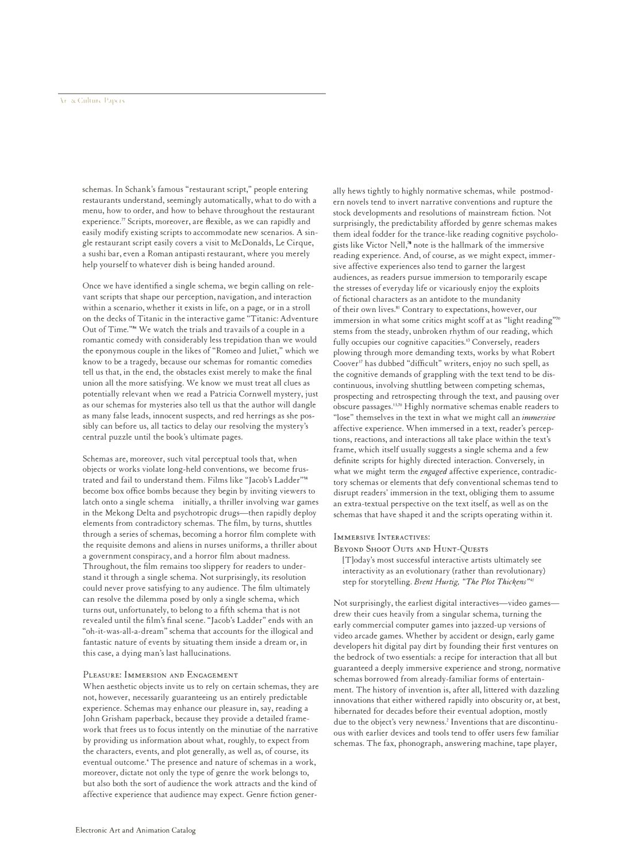### $\chi_{\rm r}$  & Culture Papers.

schemas. In Schank's famous "restaurant script," people entering restaurants understand, seemingly automatically, what to do with a menu, how to order, and how to behave throughout the restaurant experience." Scripts, moreover, are flexible, as we can rapidly and easily modify existing scripts to accommodate new scenarios. A single restaurant script easily covers a visit to McDonalds, Le Cirque, a sushi bar, even a Roman antipasti restaurant, where you merely help yourself to whatever dish is being handed around.

Once we have identified a single schema, we begin calling on relevant scripts that shape our perception, navigation, and interaction within a scenario, whether it exists in life, on a page, or in a stroll on the decks of Titanic in the interactive game "Titanic: Adventure Out of Time."**84** We watch the trials and travails of a couple in a romantic comedy with considerably less trepidation than we would the eponymous couple in the likes of"Romeo and Juliet," which we know to be a tragedy, because our schemas for romantic comedies tell us that, in the end, the obstacles exist merely to make the final union all the more satisfying. We know we must treat all clues as potentially relevant when we read a Patricia Cornwell mystery, just as our schemas for mysteries also tell us that the author will dangle as many false leads, innocent suspects, and red herrings as she possibly can before us, all tactics to delay our resolving the mystery's central puzzle until the book's ultimate pages.

Schemas are, moreover, such vital perceptual tools that, when objects or works violate long-held conventions, we become frustrated and fail to understand them. Films like "Jacob's Ladder"<sup>58</sup> become box office bombs because they begin by inviting viewers to latch onto a single schema initially, a thriller involving war games in the Mekong Delta and psychotropic drugs-then rapidly deploy elements from contradictory schemas. The film, by turns, shuttles through a series of schemas, becoming a horror film complete with the requisite demons and aliens in nurses uniforms, a thriller about a government conspiracy, and a horror film about madness. Throughout, the film remains too slippery for readers to understand it through a single schema. Not surprisingly, its resolution could never prove satisfying to any audience. The film ultimately can resolve the dilemma posed by only a single schema, which turns out, unfortunately, to belong to a fifth schema that is not revealed until the film's final scene. "Jacob's Ladder" ends with an "oh-it-was-all-a-dream" schema that accounts for the illogical and fantastic nature of events by situating them inside a dream or, in this case, a dying man's last hallucinations.

### PLEASURE: IMMERSION AND ENGAGEMENT

When aesthetic objects invite us to rely on certain schemas, they are not, however, necessarily guaranteeing us an entirely predictable experience. Schemas may enhance our pleasure in, say, reading a John Grisham paperback, because they provide a detailed framework that frees us to focus intently on the minutiae of the narrative by providing us information about what, roughly, to expect from the characters, events, and plot generally, as well as, of course, its eventual outcome.' The presence and nature of schemas in a work, moreover, dictate not only the type of genre the work belongs to, but also both the sort of audience the work attracts and the kind of affective experience that audience may expect. Genre fiction generally hews tightly to highly normative schemas, while postmodern novels tend to invert narrative conventions and rupture the stock developments and resolutions of mainstream fiction. Not surprisingly, the predictability afforded by genre schemas makes them ideal fodder for the trance-like reading cognitive psychologists like Victor Nell,**70** note is the hallmark of the immersive reading experience. And, of course, as we might expect, immersive affective experiences also tend to garner the largest audiences, as readers pursue immersion to temporarily escape the stresses of everyday life or vicariously enjoy the exploits of fictional characters as an antidote to the mundanity of their own lives." Contrary to expectations, however, our immersion in what some critics might scoff at as "light reading"<sup>70</sup> stems from the steady, unbroken rhythm of our reading, which fully occupies our cognitive capacities." Conversely, readers plowing through more demanding texts, works by what Robert Coover" has dubbed "difficult" writers, enjoy no such spell, as the cognitive demands of grappling with the text tend to be discontinuous, involving shuttling between competing schemas, prospecting and retrospecting through the text, and pausing over obscure passages.**13·<sup>70</sup>**Highly normative schemas enable readers to "lose" themselves in the text in what we might call an *immersive*  affective experience. When immersed in a text, reader's perceptions, reactions, and interactions all take place within the text's frame, which itself usually suggests a single schema and a few definite scripts for highly directed interaction. Conversely, in what we might term the *engaged* affective experience, contradictory schemas or elements that defy conventional schemas tend to disrupt readers' immersion in the text, obliging them to assume an extra-textual perspective on the text itself, as well as on the schemas that have shaped it and the scripts operating within it.

## IMMERSIVE INTERACTIVES:

BEYOND SHOOT OUTS AND HUNT-QUESTS [T]oday's most successful interactive artists ultimately see interactivity as an evolutionary (rather than revolutionary) step for storytelling. *Brent Hurtig, "The Plot Thickens""*

Not surprisingly, the earliest digital interactives-video gamesdrew their cues heavily from a singular schema, turning the early commercial computer games into jazzed-up versions of video arcade games. Whether by accident or design, early game developers hit digital pay dirt by founding their first ventures on the bedrock of two essentials: a recipe for interaction that all but guaranteed a deeply immersive experience and strong, normative schemas borrowed from already-familiar forms of entertainment. The history of invention is, after all, littered with dazzling innovations that either withered rapidly into obscurity or, at best, hibernated for decades before their eventual adoption, mostly due to the object's very newness.' Inventions that are discontinuous with earlier devices and tools tend to offer users few familiar schemas. The fax, phonograph, answering machine, tape player,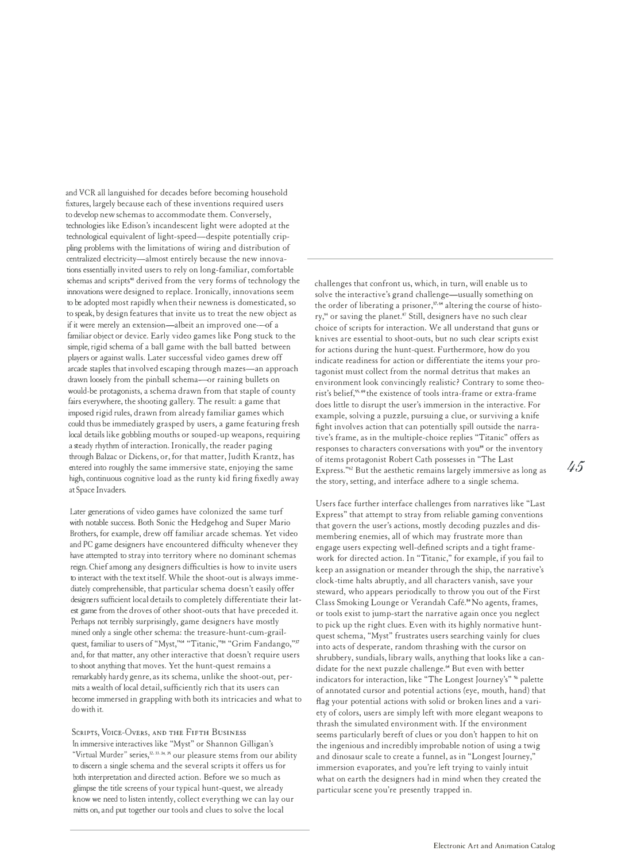and VCR all languished for decades before becoming household fixtures, largely because each of these inventions required users to develop new schemas to accommodate them. Conversely, technologies like Edison's incandescent light were adopted at the technological equivalent of light-speed—despite potentially crippling problems with the limitations of wiring and distribution of centralized electricity-almost entirely because the new innovations essentially invited users to rely on long-familiar, comfortable schemas and scripts<sup>40</sup> derived from the very forms of technology the innovations were designed to replace. Ironically, innovations seem to be adopted most rapidly when their newness is domesticated, so to speak, by design features that invite us to treat the new object as if it were merely an extension-albeit an improved one--of a familiar object or device. Early video games like Pong stuck to the simple, rigid schema of a ball game with the ball batted between players or against walls. Later successful video games drew off arcade staples that involved escaping through mazes-an approach drawn loosely from the pinball schema-or raining bullets on would-be protagonists, a schema drawn from that staple of county fairs everywhere, the shooting gallery. The result: a game that imposed rigid rules, drawn from already familiar games which could thus be immediately grasped by users, a game featuring fresh local details like gobbling mouths or souped-up weapons, requiring a steady rhythm of interaction. Ironically, the reader paging through Balzac or Dickens, or, for that matter, Judith Krantz, has entered into roughly the same immersive state, enjoying the same high, continuous cognitive load as the runty kid firing fixedly away at Space Invaders.

Later generations of video games have colonized the same turf with notable success. Both Sonic the Hedgehog and Super Mario Brothers, for example, drew off familiar arcade schemas. Yet video and PC game designers have encountered difficulty whenever they have attempted to stray into territory where no dominant schemas reign. Chief among any designers difficulties is how to invite users to interact with the text itself. While the shoot-out is always immediately comprehensible, that particular schema doesn't easily offer designers sufficient local details to completely differentiate their latest game from the droves of other shoot-outs that have preceded it. Perhaps not terribly surprisingly, game designers have mostly mined only a single other schema: the treasure-hunt-cum-grailquest, familiar to users of "Myst,"<sup>64</sup> "Titanic,"<sup>84</sup> "Grim Fandango,"<sup>37</sup> and, for that matter, any other interactive that doesn't require users to shoot anything that moves. Yet the hunt-quest remains a remarkably hardy genre, as its schema, unlike the shoot-out, permits a wealth of local detail, sufficiently rich that its users can become immersed in grappling with both its intricacies and what to do with it.

SCRIPTS, VOICE-OVERS, AND THE FIFTH BUSINESS In immersive interactives like "Myst" or Shannon Gilligan's "Virtual Murder" series,32,33,34,35 our pleasure stems from our ability to discern a single schema and the several scripts it offers us for both interpretation and directed action. Before we so much as glimpse the title screens of your typical hunt-quest, we already know we need to listen intently, collect everything we can lay our mitts on, and put together our tools and clues to solve the local

challenges that confront us, which, in turn, will enable us to solve the interactive's grand challenge—usually something on the order of liberating a prisoner,  $37.64$  altering the course of history,<sup>84</sup> or saving the planet.<sup>87</sup> Still, designers have no such clear choice of scripts for interaction. We all understand that guns or knives are essential to shoot-outs, but no such clear scripts exist for actions during the hunt-quest. Furthermore, how do you indicate readiness for action or differentiate the items your protagonist must collect from the normal detritus that makes an environment look convincingly realistic? Contrary to some theorist's belief,"· **<sup>69</sup>** the existence of tools intra-frame or extra-frame does little to disrupt the user's immersion in the interactive. For example, solving a puzzle, pursuing a clue, or surviving a knife fight involves action that can potentially spill outside the narrative's frame, as in the multiple-choice replies "Titanic" offers as responses to characters conversations with you<sup>84</sup> or the inventory of items protagonist Robert Cath possesses in "The Last Express."<sup>62</sup> But the aesthetic remains largely immersive as long as the story, setting, and interface adhere to a single schema.

Users face further interface challenges from narratives like "Last Express" that attempt to stray from reliable gaming conventions that govern the user's actions, mostly decoding puzzles and dismembering enemies, all of which may frustrate more than engage users expecting well-defined scripts and a tight framework for directed action. In "Titanic," for example, if you fail to keep an assignation or meander through the ship, the narrative's clock-time halts abruptly, and all characters vanish, save your steward, who appears periodically to throw you out of the First Class Smoking Lounge or Verandah Cafe."No agents, frames, or tools exist to jump-start the narrative again once you neglect to pick up the right clues. Even with its highly normative huntquest schema, "Myst" frustrates users searching vainly for clues into acts of desperate, random thrashing with the cursor on shrubbery, sundials, library walls, anything that looks like a candidate for the next puzzle challenge." But even with better indicators for interaction, like "The Longest Journey's" <sup>56</sup> palette of annotated cursor and potential actions (eye, mouth, hand) that flag your potential actions with solid or broken lines and a variety of colors, users are simply left with more elegant weapons to thrash the simulated environment with. If the environment seems particularly bereft of clues or you don't happen to hit on the ingenious and incredibly improbable notion of using a twig and dinosaur scale to create a funnel, as in "Longest Journey," immersion evaporates, and you're left trying to vainly intuit what on earth the designers had in mind when they created the particular scene you're presently trapped in.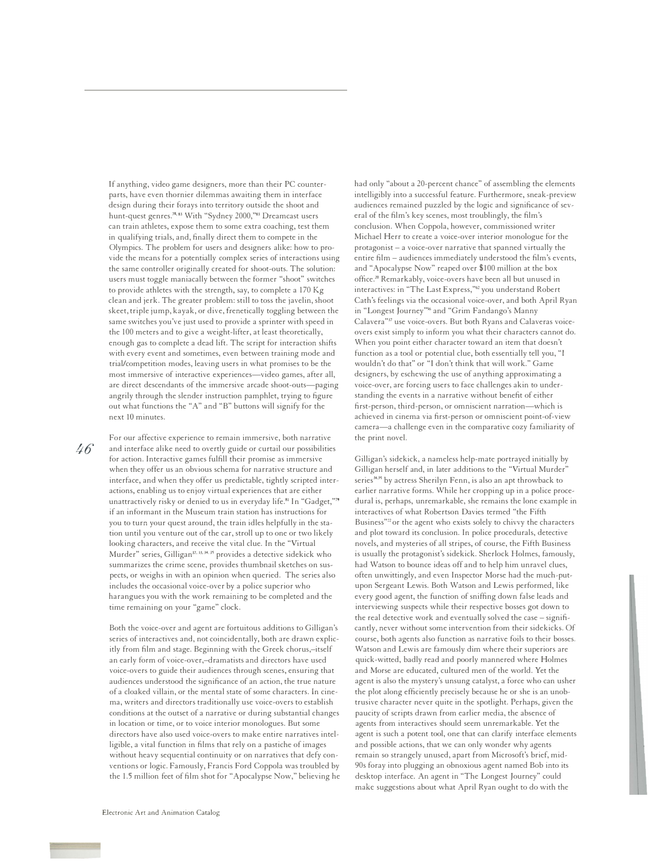If anything, video game designers, more than their PC counterparts, have even thornier dilemmas awaiting them in interface design during their forays into territory outside the shoot and hunt-quest genres.**<sup>7</sup> 8 • <sup>83</sup>**With "Sydney 2000,"**83** Dreamcast users can train athletes, expose them to some extra coaching, test them in qualifying trials, and, finally direct them to compete in the Olympics. The problem for users and designers alike: how to provide the means for a potentially complex series of interactions using the same controller originally created for shoot-outs. The solution: users must toggle maniacally between the former "shoot" switches to provide athletes with the strength, say, to complete a 170 Kg clean and jerk. The greater problem: still to toss the javelin, shoot skeet, triple jump, kayak, or dive, frenetically toggling between the same switches you've just used to provide a sprinter with speed in the 100 meters and to give a weight-lifter, at least theoretically, enough gas to complete a dead lift. The script for interaction shifts with every event and sometimes, even between training mode and trial/competition modes, leaving users in what promises to be the most immersive of interactive experiences-video games, after all, are direct descendants of the immersive arcade shoot-outs-paging angrily through the slender instruction pamphlet, trying to figure out what functions the "A" and "B" buttons will signify for the next IO minutes.

For our affective experience to remain immersive, both narrative  $46$  and interface alike need to overtly guide or curtail our possibilities for action. Interactive games fulfill their promise as immersive when they offer us an obvious schema for narrative structure and interface, and when they offer us predictable, tightly scripted interactions, enabling us to enjoy virtual experiences that are either unattractively risky or denied to us in everyday life.<sup>81</sup> In "Gadget,"79 if an informant in the Museum train station has instructions for you to turn your quest around, the train idles helpfully in the station until you venture out of the car, stroll up to one or two likely looking characters, and receive the vital clue. In the "Virtual Murder" series, Gilligan<sup>32, 33, 34, 35</sup> provides a detective sidekick who summarizes the crime scene, provides thumbnail sketches on suspects, or weighs in with an opinion when queried. The series also includes the occasional voice-over by a police superior who harangues you with the work remaining to be completed and the time remaining on your "game" clock.

> Both the voice-over and agent are fortuitous additions to Gilligan's series of interactives and, not coincidentally, both are drawn explicitly from film and stage. Beginning with the Greek chorus,-itself an early form of voice-over,-dramatists and directors have used voice-overs to guide their audiences through scenes, ensuring that audiences understood the significance of an action, the true nature of a cloaked villain, or the mental state of some characters. In cinema, writers and directors traditionally use voice-overs to establish conditions at the outset of a narrative or during substantial changes in location or time, or to voice interior monologues. But some directors have also used voice-overs to make entire narratives intelligible, a vital function in films that rely on a pastiche of images without heavy sequential continuity or on narratives that defy conventions or logic. Famously, Francis Ford Coppola was troubled by the 1.5 million feet of film shot for "Apocalypse Now," believing he

had only "about a 20-percent chance" of assembling the elements intelligibly into a successful feature. Furthermore, sneak-preview audiences remained puzzled by the logic and significance of several of the film's key scenes, most troublingly, the film's conclusion. When Coppola, however, commissioned writer Michael Herr to create a voice-over interior monologue for the protagonist - a voice-over narrative that spanned virtually the entire film - audiences immediately understood the film's events, and "Apocalypse Now" reaped over \$100 million at the box office.'° Remarkably, voice-overs have been all but unused in interactives: in "The Last Express,"<sup>62</sup> you understand Robert Cath's feelings via the occasional voice-over, and both April Ryan in "Longest Journey"<sup>56</sup> and "Grim Fandango's Manny Calavera"**37** use voice-overs. But both Ryans and Calaveras voiceovers exist simply to inform you what their characters cannot do. When you point either character toward an item that doesn't function as a tool or potential clue, both essentially tell you, "I wouldn't do that" or "I don't think that will work." Game designers, by eschewing the use of anything approximating a voice-over, are forcing users to face challenges akin to understanding the events in a narrative without benefit of either first-person, third-person, or omniscient narration-which is achieved in cinema via first-person or omniscient point-of-view camera-a challenge even in the comparative cozy familiarity of the print novel.

Gilligan's sidekick, a nameless help-mate portrayed initially by Gilligan herself and, in later additions to the "Virtual Murder" series**<sup>3435</sup>**by actress Sherilyn Fenn, is also an apt throwback to earlier narrative forms. While her cropping up in a police procedural is, perhaps, unremarkable, she remains the lone example in interactives of what Robertson Davies termed "the Fifth Business"<sup>22</sup> or the agent who exists solely to chivvy the characters and plot toward its conclusion. In police procedurals, detective novels, and mysteries of all stripes, of course, the Fifth Business is usually the protagonist's sidekick. Sherlock Holmes, famously, had Watson to bounce ideas off and to help him unravel clues, often unwittingly, and even Inspector Morse had the much-putupon Sergeant Lewis. Both Watson and Lewis performed, like every good agent, the function of sniffing down false leads and interviewing suspects while their respective bosses got down to the real detective work and eventually solved the case - significantly, never without some intervention from their sidekicks. Of course, both agents also function as narrative foils to their bosses. Watson and Lewis are famously dim where their superiors are quick-witted, badly read and poorly mannered where Holmes and Morse are educated, cultured men of the world. Yet the agent is also the mystery's unsung catalyst, a force who can usher the plot along efficiently precisely because he or she is an unobtrusive character never quite in the spotlight. Perhaps, given the paucity of scripts drawn from earlier media, the absence of agents from interactives should seem unremarkable. Yet the agent is such a potent tool, one that can clarify interface elements and possible actions, that we can only wonder why agents remain so strangely unused, apart from Microsoft's brief, mid-90s foray into plugging an obnoxious agent named Bob into its desktop interface. An agent in "The Longest Journey" could make suggestions about what April Ryan ought to do with the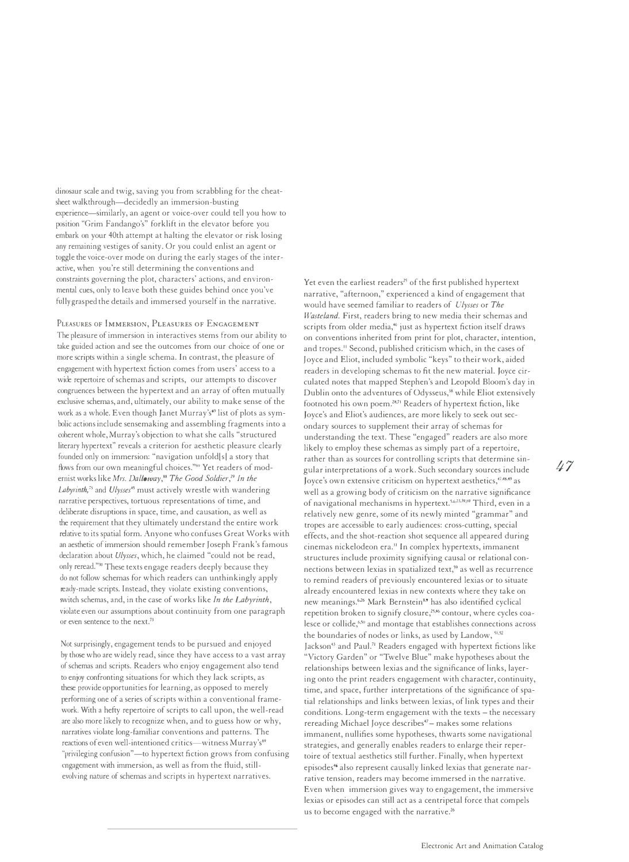dinosaur scale and twig, saving you from scrabbling for the cheatsheet walkthrough-decidedly an immersion-busting experience-similarly, an agent or voice-over could tell you how to position "Grim Fandango's" forklift in the elevator before you embark on your 40th attempt at halting the elevator or risk losing any remaining vestiges of sanity. Or you could enlist an agent or toggle the voice-over mode on during the early stages of the interactive, when you're still determining the conventions and constraints governing the plot, characters' actions, and environmental cues, only to leave both these guides behind once you've fully grasped the details and immersed yourself in the narrative.

**PLEASURES OF IMMERSION, PLEASURES OF ENGAGEMENT**  The pleasure of immersion in interactives stems from our ability to take guided action and see the outcomes from our choice of one or more scripts within a single schema. In contrast, the pleasure of engagement with hypertext fiction comes from users' access to a wide repertoire of schemas and scripts, our attempts to discover congruences between the hypertext and an array of often mutually exclusive schemas, and, ultimately, our ability to make sense of the work as a whole. Even though Janet Murray's" list of plots as symbolic actions include sensemaking and assembling fragments into a coherent whole, Murray's objection to what she calls "structured literary hypertext" reveals a criterion for aesthetic pleasure clearly founded only on immersion: "navigation unfold[s] a story that flows from our own meaningful choices."<sup>69</sup> Yet readers of modernist works like *Mrs. Dalloway*,<sup>88</sup> The Good Soldier,<sup>29</sup> In the Labyrinth,<sup>73</sup> and *Ulysses*<sup>45</sup> must actively wrestle with wandering narrative perspectives, tortuous representations of time, and deliberate disruptions in space, time, and causation, as well as the requirement that they ultimately understand the entire work relative to its spatial form. Anyone who confuses Great Works with an aesthetic of immersion should remember Joseph Frank's famous declaration about *Ulysses,* which, he claimed "could not be read, only reread."**30** These texts engage readers deeply because they do not follow schemas for which readers can unthinkingly apply ready-made scripts. Instead, they violate existing conventions, switch schemas, and, in the case of works like *In the Labyrinth,*  violate even our assumptions about continuity from one paragraph or even sentence to the next.**7<sup>3</sup>**

Not surprisingly, engagement tends to be pursued and enjoyed by those who are widely read, since they have access to a vast array of schemas and scripts. Readers who enjoy engagement also tend to enjoy confronting situations for which they lack scripts, as these provide opportunities for learning, as opposed to merely performing one of a series of scripts within a conventional framework. With a hefty repertoire of scripts to call upon, the well-read are also more likely to recognize when, and to guess how or why, narratives violate long-familiar conventions and patterns. The reactions of even well-intentioned critics-witness Murray's<sup>69</sup> "privileging confusion"—to hypertext fiction grows from confusing engagement with immersion, as well as from the fluid, stillevolving nature of schemas and scripts in hypertext narratives.

Yet even the earliest readers<sup>25</sup> of the first published hypertext narrative, "afternoon," experienced a kind of engagement that would have seemed familiar to readers of *Ulysses* or *The Wasteland.* First, readers bring to new media their schemas and scripts from older media,<sup>40</sup> just as hypertext fiction itself draws on conventions inherited from print for plot, character, intention, and tropes." Second, published criticism which, in the cases of Joyce and Eliot, included symbolic "keys" to their work, aided readers in developing schemas to fit the new material. Joyce circulated notes that mapped Stephen's and Leopold Bloom's day in Dublin onto the adventures of Odysseus,<sup>38</sup> while Eliot extensively footnoted his own poem.**28•<sup>71</sup>**Readers of hypertext fiction, like Joyce's and Eliot's audiences, are more likely to seek out secondary sources to supplement their array of schemas for understanding the text. These "engaged" readers are also more likely to employ these schemas as simply part of a repertoire, rather than as sources for controlling scripts that determine singular interpretations of a work. Such secondary sources include Joyce's own extensive criticism on hypertext aesthetics,<sup>47,48,49</sup> as well as a growing body of criticism on the narrative significance of navigational mechanisms in hypertext.<sup>5,6,23,39,69</sup> Third, even in a relatively new genre, some of its newly minted "grammar" and tropes are accessible to early audiences: cross-cutting, special effects, and the shot-reaction shot sequence all appeared during cinemas nickelodeon era." In complex hypertexts, immanent structures include proximity signifying causal or relational connections between lexias in spatialized text,<sup>59</sup> as well as recurrence to remind readers of previously encountered lexias or to situate already encountered lexias in new contexts where they take on new meanings.<sup>6,26</sup> Mark Bernstein<sup>8,9</sup> has also identified cyclical repetition broken to signify closure,**<sup>2</sup> 5 • 46** contour, where cycles coalesce or collide,<sup>650</sup> and montage that establishes connections across the boundaries of nodes or links, as used by Landow, **<sup>5</sup><sup>1</sup> • 52**  Jackson<sup>43</sup> and Paul.<sup>71</sup> Readers engaged with hypertext fictions like "Victory Garden" or "Twelve Blue" make hypotheses about the relationships between lexias and the significance of links, layering onto the print readers engagement with character, continuity, time, and space, further interpretations of the significance of spatial relationships and links between lexias, of link types and their conditions. Long-term engagement with the texts – the necessary rereading Michael Joyce describes"- makes some relations immanent, nullifies some hypotheses, thwarts some navigational strategies, and generally enables readers to enlarge their repertoire of textual aesthetics still further. Finally, when hypertext episodes" also represent causally linked lexias that generate narrative tension, readers may become immersed in the narrative. Even when immersion gives way to engagement, the immersive lexias or episodes can still act as a centripetal force that compels

us to become engaged with the narrative.<sup>26</sup>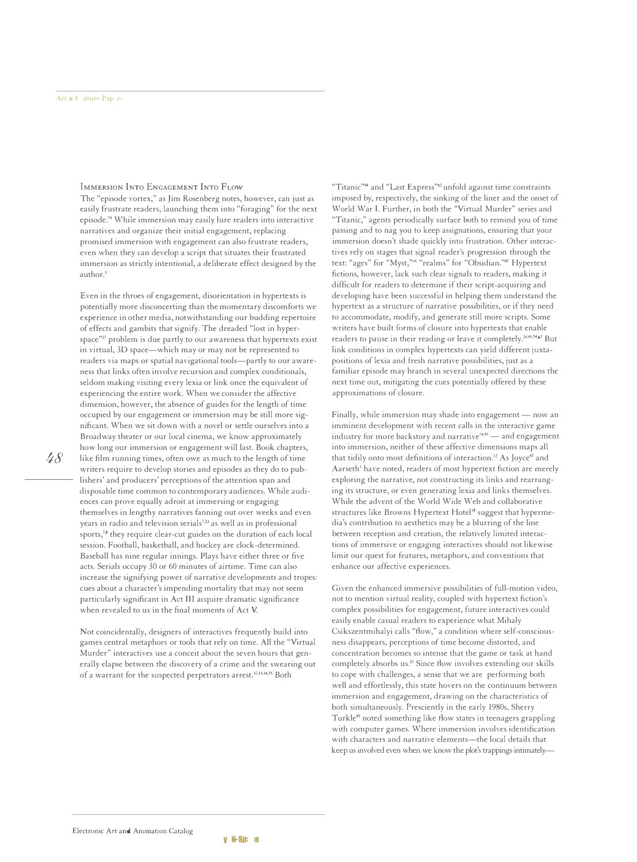#### **IMMERSION INTO ENGAGEMENT INTO FLOW**

The "episode vortex," as Jim Rosenberg notes, however, can just as easily frustrate readers, launching them into "foraging" for the next episode." While immersion may easily lure readers into interactive narratives and organize their initial engagement, replacing promised immersion with engagement can also frustrate readers, even when they can develop a script that situates their frustrated immersion as strictly intentional, a deliberate effect designed by the author.'

Even in the throes of engagement, disorientation in hypertexts is potentially more disconcerting than the momentary discomforts we experience in other media, notwithstanding our budding repertoire of effects and gambits that signify. The dreaded "lost in hyperspace"<sup>27</sup> problem is due partly to our awareness that hypertexts exist in virtual, 3D space—which may or may not be represented to readers via maps or spatial navigational tools-partly to our awareness that links often involve recursion and complex conditionals, seldom making visiting every lexia or link once the equivalent of experiencing the entire work. When we consider the affective dimension, however, the absence of guides for the length of time occupied by our engagement or immersion may be still more significant. When we sit down with a novel or settle ourselves into a Broadway theater or our local cinema, we know approximately how long our immersion or engagement will last. Book chapters, like film running times, often owe as much to the length of time writers require to develop stories and episodes as they do to publishers' and producers' perceptions of the attention span and disposable time common to contemporary audiences. While audiences can prove equally adroit at immersing or engaging themselves in lengthy narratives fanning out over weeks and even years in radio and television serials<sup>7,23</sup> as well as in professional sports,<sup>7,8</sup> they require clear-cut guides on the duration of each local session. Football, basketball, and hockey are clock-determined. Baseball has nine regular innings. Plays have either three or five acts. Serials occupy 30 or 60 minutes of airtime. Time can also increase the signifying power of narrative developments and tropes: cues about a character's impending mortality that may not seem particularly significant in Act III acquire dramatic significance when revealed to us in the final moments of Act V.

Not coincidentally, designers of interactives frequently build into games central metaphors or tools that rely on time. All the "Virtual Murder" interactives use a conceit about the seven hours that generally elapse between the discovery of a crime and the swearing out of a warrant for the suspected perpetrators arrest.<sup>32,33,34,35</sup> Both

"Titanic"<sup>\*</sup> and "Last Express"<sup>62</sup> unfold against time constraints imposed by, respectively, the sinking of the liner and the onset of World War I. Further, in both the "Virtual Murder" series and "Titanic," agents periodically surface both to remind you of time passing and to nag you to keep assignations, ensuring that your immersion doesn't shade quickly into frustration. Other interactives rely on stages that signal reader's progression through the text: "ages" for "Myst,"**64** "realms" for "Obsidian."" Hypertext fictions, however, lack such clear signals to readers, making it difficult for readers to determine if their script-acquiring and developing have been successful in helping them understand the hypertext as a structure of narrative possibilities, or if they need to accommodate, modify, and generate still more scripts. Some writers have built forms of closure into hypertexts that enable readers to pause in their reading or leave it completely.**24•<sup>46</sup>54067** But link conditions in complex hypertexts can yield different juxtapositions of lexia and fresh narrative possibilities, just as a familiar episode may branch in several unexpected directions the next time out, mitigating the cues potentially offered by these approximations of closure,

Finally, while immersion may shade into engagement - now an imminent development with recent calls in the interactive game industry for more backstory and narrative**<sup>14</sup>' <sup>80</sup>-** and engagement into immersion, neither of these affective dimensions maps all that tidily onto most definitions of interaction." As Joyce" and Aarseth' have noted, readers of most hypertext fiction are merely exploring the narrative, not constructing its links and rearranging its structure, or even generating lexia and links themselves, While the advent of the World Wide Web and collaborative structures like Browns Hypertext Hotel" suggest that hypermedia's contribution to aesthetics may be a blurring of the line between reception and creation, the relatively limited interactions of immersive or engaging interactives should not likewise limit our quest for features, metaphors, and conventions that enhance our affective experiences.

Given the enhanced immersive possibilities of full-motion video, not to mention virtual reality, coupled with hypertext fiction's complex possibilities for engagement, future interactives could easily enable casual readers to experience what Mihaly Csikszentmihalyi calls "Aow," a condition where self-consciousness disappears, perceptions of time become distorted, and concentration becomes so intense that the game or task at hand completely absorbs us.<sup>21</sup> Since flow involves extending our skills to cope with challenges, a sense that we are performing both well and effortlessly, this state hovers on the continuum between immersion and engagement, drawing on the characteristics of both simultaneously, Presciently in the early 1980s, Sherry Turkle<sup>85</sup> noted something like flow states in teenagers grappling with computer games. Where immersion involves identification with characters and narrative elements-the local details that keep us involved even when we know the plot's trappings intimately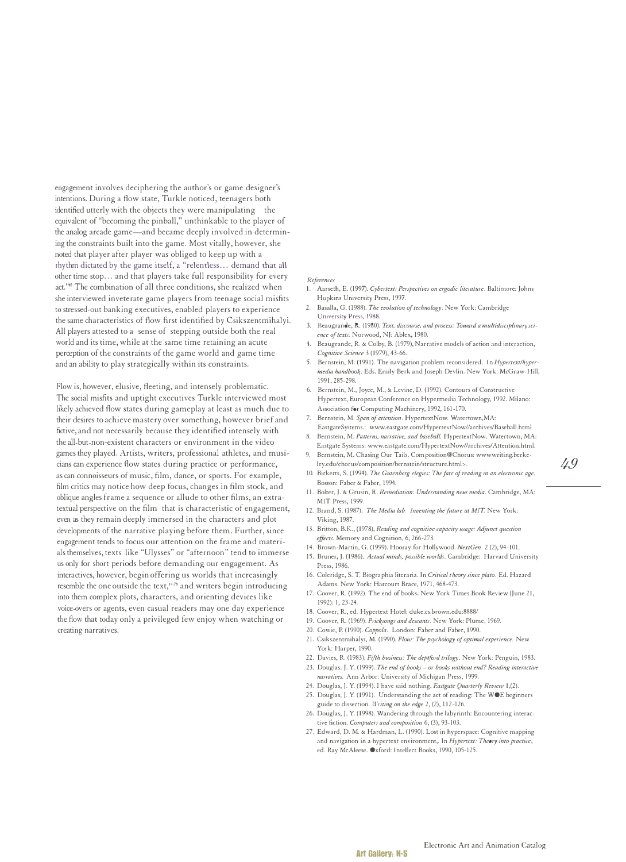engagement involves deciphering the author's or game designer's intentions. During a flow state, Turkle noticed, teenagers both identified utterly with the objects they were manipulating the equivalent of"becoming the pinball," unthinkable to the player of the analog arcade game-and became deeply involved in determining the constraints built into the game. Most vitally, however, she noted that player after player was obliged to keep up with a rhythm dictated by the game itself, a "relentless ... demand that all other time stop ... and that players take full responsibility for every act."<sup>85</sup> The combination of all three conditions, she realized when she interviewed inveterate game players from teenage social misfits to stressed-out banking executives, enabled players to experience the same characteristics of flow first identified by Csikszentmihalyi. All players attested to a sense of stepping outside both the real world and its time, while at the same time retaining an acute perception of the constraints of the game world and game time and an ability to play strategically within its constraints.

Flow is, however, elusive, fleeting, and intensely problematic. The social misfits and uptight executives Turkle interviewed most likely achieved flow states during gameplay at least as much due to their desires to achieve mastery over something, however brief and fictive, and not necessarily because they identified intensely with the all-but-non-existent characters or environment in the video games they played. Artists, writers, professional athletes, and musicians can experience flow states during practice or performance, as can connoisseurs of music, film, dance, or sports. For example, film critics may notice how deep focus, changes in film stock, and oblique angles frame a sequence or allude to other films, an extratextual perspective on the film that is characteristic of engagement, even as they remain deeply immersed in the characters and plot developments of the narrative playing before them. Further, since engagement tends to focus our attention on the frame and materials themselves, texts like "Ulysses" or "afternoon" tend to immerse us only for short periods before demanding our engagement. As interactives, however, begin offering us worlds that increasingly resemble the one outside the text,<sup>14,78</sup> and writers begin introducing into them complex plots, characters, and orienting devices like voice-overs or agents, even casual readers may one day experience the flow that today only a privileged few enjoy when watching or creating narratives.

*References* 

- **I. Aarseth, E. (1997).** *Cybertext: Perspectives on ergodic literature.* **Baltimore: Johns Hopkins University Press, 1997.**
- 2. Basalla, G. (1988). *The evolution of technology.* New York: Cambridge **University Press, 1988.**
- **3. Beaugrande, R. (1980).** *Text, discourse, and process: Toward a multidiscip!i11ary science of texts.* Norwood, NJ: Ablex, 1980.
- **4. Beaugrande,** R. & **Colby,** B. **(1979), Narrative models of action and interaction,**  *Cognitive Science* 3 (1979), 43-66.
- **5. Bernstein, M. (1991). The navigation problem reconsidered. In** *Hypertext/hypermedia handbook.* Eds. Emily Berk and Joseph Devlin. New York: McGraw-Hill, 1991, 285-298.
- **6. Bernstein, M., Joyce, M., & Levine, D. (1992). Contours of Constructive Hypertext, European Conference on Hypermedia Technology, 1992. Milano:**  Association for Computing Machinery, 1992, 161-170.
- **7. Bernstein, M.** *Span of attention.* **HypertextNow. Watertown,MA: EastgateSystems.: www.eastgate.com/HypertextNow//archives/Baseball.html 8. Bernstein, M.** *Patterm, narrative, and baseball.* **HypertextNow. Watertown, MA:**
- **Eastgate Systems: www.eastgate.com/HypertextNow//archives/ Attention.html. 9. Bernstein, M. Chasing Our Tails. Composition@Chorus: wwwwriting.berke-**
- **ley.ed u/chorus/com position/be rnstein/structu re. h tm I>.**
- **10. Birkerts, S. (1994).** *The Gutenberg elegies: The fate of reading in an electronic age.*  Boston: Faber & Faber, 1994.
- **11. Bolter, J. & Grusin, R.** *Remediation: Understanding new media.* **Cambridge, MA:**  MIT Press, 1999.
- 12. Brand, S. (1987). *The Media lab: Inventing the future at MIT*. New York: Viking, 1987.
- 13. Britton, B.K., (1978), *Reading and cognitive capacity usage: Adjunct question effects.* Memory and Cognition, 6, 266-273.
- 14. Brown-Martin, G. (1999). Hooray for Hollywood. *NextGen* 2 (2), 94-101.
- 15. Bruner,). (1986). *Actual minds, possible worlds.* Cambridge: Harvard University Press, 1986.
- **16. Coleridge, S.** T. **Biographia literaria. In** *Critical theory since plato.* **Ed. Hazard**  Adams. New York: Harcourt Brace, 1971, 468-473.
- 17. Coover, R. (1992). The end of books. New York Times Book Review (June 21, 1992): I, 23-24.
- 18. Coover, R., ed. Hypertext Hotel: duke.cs.brown.edu:8888/
- 19. Coover, R. (1969). *Pricksongs and descants*. New York: Plume, 1969.
- 20. Cowie, P. (1990). *Coppola.* London: Faber and Faber, 1990.
- 21. Csikszentmihalyi, M. (1990). *Flow: The psychology of optimal experience.* New York: Harper, 1990.
- 22. Davies, R. (1983). *Fifth business: The deptford trilogy.* New York: Penguin, 1983.
- 23. Douglas. J. Y. (1999). *The end of books- or books without end? Reading interactive narratives.* **Ann Arbor: University of Michigan Press, I 999.**
- 24. Douglas, J. Y. (1994). I have said nothing. *Eastgate Quarterly Review* 1,(2).
- 25. Douglas, J. Y. (1991). Understanding the act of reading: The WOE beginners guide to dissection. *Writing on the edge* 2, (2), 112-126.
- 26. Douglas, J. Y. (1998). Wandering through the labyrinth: Encountering interac**tive fiction.** *Computers and composition*  $6$ ,  $(3)$ ,  $93-103$ .
- 27. Edward, D. M. & Hardman, L. (1990). Lost in hyperspace: Cognitive mapping and navigation in a hypertext environment,. In *Hypertext: Theory into practice*, ed. Ray McAleese. Oxford: Intellect Books, 1990, 105-125.

*4.9*